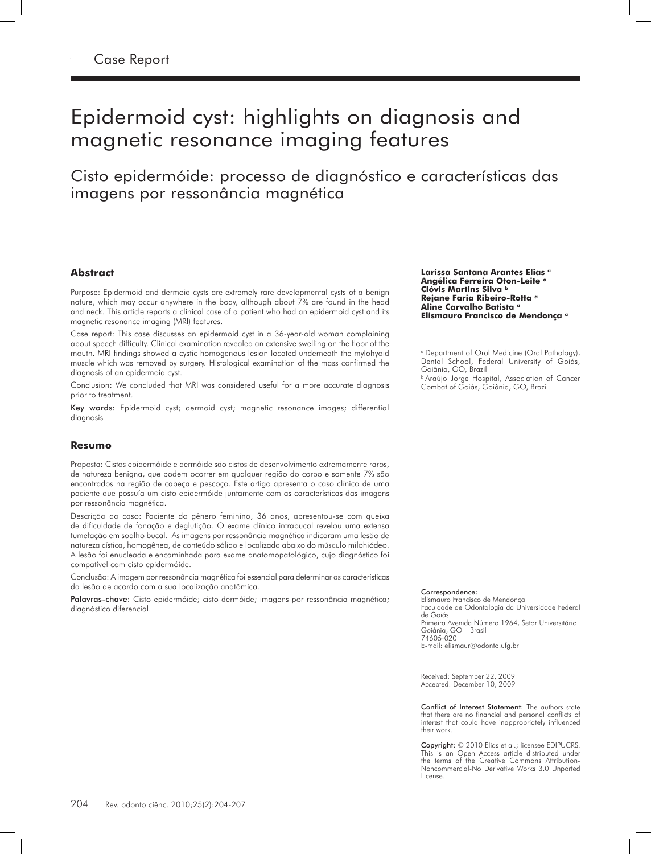# Epidermoid cyst: highlights on diagnosis and magnetic resonance imaging features

Cisto epidermóide: processo de diagnóstico e características das imagens por ressonância magnética

#### **Abstract**

Purpose: Epidermoid and dermoid cysts are extremely rare developmental cysts of a benign nature, which may occur anywhere in the body, although about 7% are found in the head and neck. This article reports a clinical case of a patient who had an epidermoid cyst and its magnetic resonance imaging (MRI) features.

Case report: This case discusses an epidermoid cyst in a 36-year-old woman complaining about speech difficulty. Clinical examination revealed an extensive swelling on the floor of the mouth. MRI findings showed a cystic homogenous lesion located underneath the mylohyoid muscle which was removed by surgery. Histological examination of the mass confirmed the diagnosis of an epidermoid cyst.

Conclusion: We concluded that MRI was considered useful for a more accurate diagnosis prior to treatment.

Key words: Epidermoid cyst; dermoid cyst; magnetic resonance images; differential diagnosis

#### **Resumo**

Proposta: Cistos epidermóide e dermóide são cistos de desenvolvimento extremamente raros, de natureza benigna, que podem ocorrer em qualquer região do corpo e somente 7% são encontrados na região de cabeça e pescoço. Este artigo apresenta o caso clínico de uma paciente que possuía um cisto epidermóide juntamente com as características das imagens por ressonância magnética.

Descrição do caso: Paciente do gênero feminino, 36 anos, apresentou-se com queixa de dificuldade de fonação e deglutição. O exame clínico intrabucal revelou uma extensa tumefação em soalho bucal. As imagens por ressonância magnética indicaram uma lesão de natureza cística, homogênea, de conteúdo sólido e localizada abaixo do músculo milohiódeo. A lesão foi enucleada e encaminhada para exame anatomopatológico, cujo diagnóstico foi compatível com cisto epidermóide.

Conclusão: A imagem por ressonância magnética foi essencial para determinar as características da lesão de acordo com a sua localização anatômica.

Palavras-chave: Cisto epidermóide; cisto dermóide; imagens por ressonância magnética; diagnóstico diferencial.

**Larissa Santana Arantes Elias a Angélica Ferreira Oton-Leite a Clóvis Martins Silva b Rejane Faria Ribeiro-Rotta a Aline Carvalho Batista a Elismauro Francisco de Mendonça a**

<sup>a</sup> Department of Oral Medicine (Oral Pathology), Dental School, Federal University of Goiás, Goiânia, GO, Brazil **b Araújo Jorge Hospital, Association of Cancer** Combat of Goiás, Goiânia, GO, Brazil

#### Correspondence:

Elismauro Francisco de Mendonça Faculdade de Odontologia da Universidade Federal de Goiás Primeira Avenida Número 1964, Setor Universitário Goiânia, GO – Brasil 74605-020 E-mail: elismaur@odonto.ufg.br

Received: September 22, 2009 Accepted: December 10, 2009

Conflict of Interest Statement: The authors state that there are no financial and personal conflicts of interest that could have inappropriately influenced their work.

Copyright: © 2010 Elias et al.; licensee EDIPUCRS. This is an Open Access article distributed under the terms of the Creative Commons Attribution-Noncommercial-No Derivative Works 3.0 Unported License.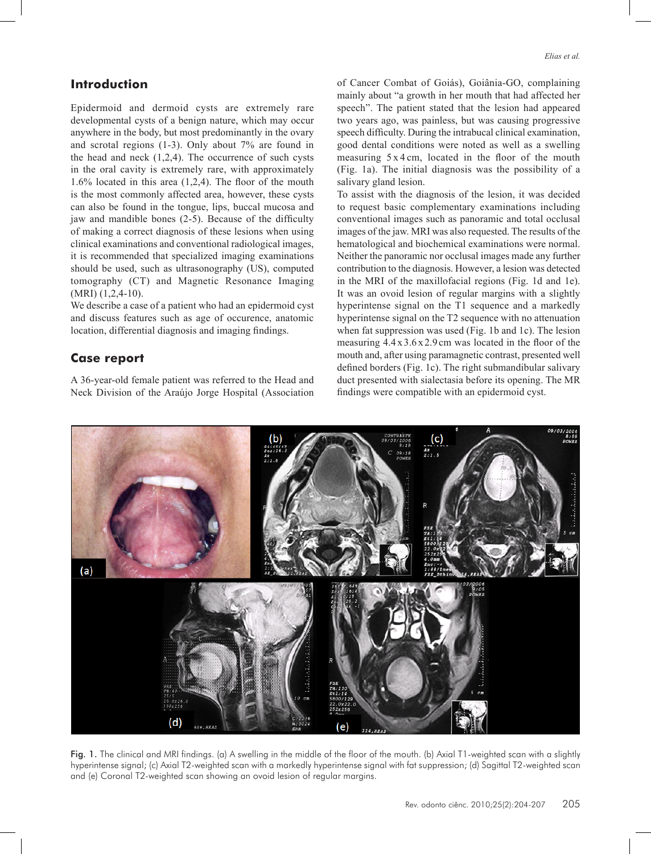# **Introduction**

Epidermoid and dermoid cysts are extremely rare developmental cysts of a benign nature, which may occur anywhere in the body, but most predominantly in the ovary and scrotal regions (1-3). Only about 7% are found in the head and neck  $(1,2,4)$ . The occurrence of such cysts in the oral cavity is extremely rare, with approximately 1.6% located in this area (1,2,4). The floor of the mouth is the most commonly affected area, however, these cysts can also be found in the tongue, lips, buccal mucosa and jaw and mandible bones (2-5). Because of the difficulty of making a correct diagnosis of these lesions when using clinical examinations and conventional radiological images, it is recommended that specialized imaging examinations should be used, such as ultrasonography (US), computed tomography (CT) and Magnetic Resonance Imaging (MRI) (1,2,4-10).

We describe a case of a patient who had an epidermoid cyst and discuss features such as age of occurence, anatomic location, differential diagnosis and imaging findings.

### **Case report**

A 36-year-old female patient was referred to the Head and Neck Division of the Araújo Jorge Hospital (Association of Cancer Combat of Goiás), Goiânia-GO, complaining mainly about "a growth in her mouth that had affected her speech". The patient stated that the lesion had appeared two years ago, was painless, but was causing progressive speech difficulty. During the intrabucal clinical examination, good dental conditions were noted as well as a swelling measuring 5 x 4 cm, located in the floor of the mouth (Fig. 1a). The initial diagnosis was the possibility of a salivary gland lesion.

To assist with the diagnosis of the lesion, it was decided to request basic complementary examinations including conventional images such as panoramic and total occlusal images of the jaw. MRI was also requested. The results of the hematological and biochemical examinations were normal. Neither the panoramic nor occlusal images made any further contribution to the diagnosis. However, a lesion was detected in the MRI of the maxillofacial regions (Fig. 1d and 1e). It was an ovoid lesion of regular margins with a slightly hyperintense signal on the T1 sequence and a markedly hyperintense signal on the T2 sequence with no attenuation when fat suppression was used (Fig. 1b and 1c). The lesion measuring 4.4 x 3.6 x 2.9 cm was located in the floor of the mouth and, after using paramagnetic contrast, presented well defined borders (Fig. 1c). The right submandibular salivary duct presented with sialectasia before its opening. The MR findings were compatible with an epidermoid cyst.



Fig. 1. The clinical and MRI findings. (a) A swelling in the middle of the floor of the mouth. (b) Axial T1-weighted scan with a slightly hyperintense signal; (c) Axial T2-weighted scan with a markedly hyperintense signal with fat suppression; (d) Sagittal T2-weighted scan and (e) Coronal T2-weighted scan showing an ovoid lesion of regular margins.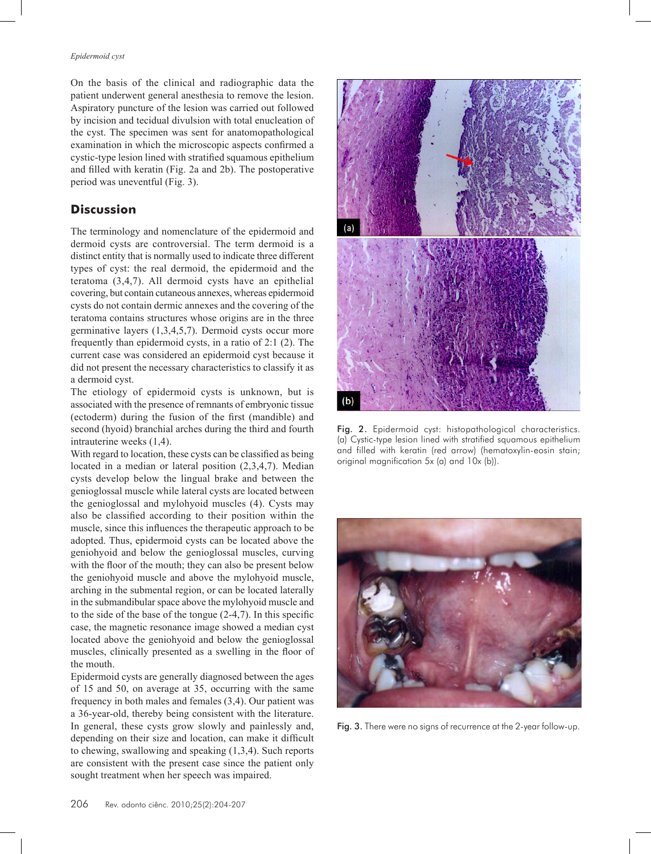On the basis of the clinical and radiographic data the patient underwent general anesthesia to remove the lesion. Aspiratory puncture of the lesion was carried out followed by incision and tecidual divulsion with total enucleation of the cyst. The specimen was sent for anatomopathological examination in which the microscopic aspects confirmed a cystic-type lesion lined with stratified squamous epithelium and filled with keratin (Fig. 2a and 2b). The postoperative period was uneventful (Fig. 3).

# **Discussion**

The terminology and nomenclature of the epidermoid and dermoid cysts are controversial. The term dermoid is a distinct entity that is normally used to indicate three different types of cyst: the real dermoid, the epidermoid and the teratoma (3,4,7). All dermoid cysts have an epithelial covering, but contain cutaneous annexes, whereas epidermoid cysts do not contain dermic annexes and the covering of the teratoma contains structures whose origins are in the three germinative layers (1,3,4,5,7). Dermoid cysts occur more frequently than epidermoid cysts, in a ratio of 2:1 (2). The current case was considered an epidermoid cyst because it did not present the necessary characteristics to classify it as a dermoid cyst.

The etiology of epidermoid cysts is unknown, but is associated with the presence of remnants of embryonic tissue (ectoderm) during the fusion of the first (mandible) and second (hyoid) branchial arches during the third and fourth intrauterine weeks (1,4).

With regard to location, these cysts can be classified as being located in a median or lateral position (2,3,4,7). Median cysts develop below the lingual brake and between the genioglossal muscle while lateral cysts are located between the genioglossal and mylohyoid muscles (4). Cysts may also be classified according to their position within the muscle, since this influences the therapeutic approach to be adopted. Thus, epidermoid cysts can be located above the geniohyoid and below the genioglossal muscles, curving with the floor of the mouth; they can also be present below the geniohyoid muscle and above the mylohyoid muscle, arching in the submental region, or can be located laterally in the submandibular space above the mylohyoid muscle and to the side of the base of the tongue (2-4,7). In this specific case, the magnetic resonance image showed a median cyst located above the geniohyoid and below the genioglossal muscles, clinically presented as a swelling in the floor of the mouth.

Epidermoid cysts are generally diagnosed between the ages of 15 and 50, on average at 35, occurring with the same frequency in both males and females (3,4). Our patient was a 36-year-old, thereby being consistent with the literature. In general, these cysts grow slowly and painlessly and, depending on their size and location, can make it difficult to chewing, swallowing and speaking (1,3,4). Such reports are consistent with the present case since the patient only sought treatment when her speech was impaired.



Fig. 2. Epidermoid cyst: histopathological characteristics. (a) Cystic-type lesion lined with stratified squamous epithelium and filled with keratin (red arrow) (hematoxylin-eosin stain; original magnification 5x (a) and 10x (b)).



Fig. 3. There were no signs of recurrence at the 2-year follow-up.